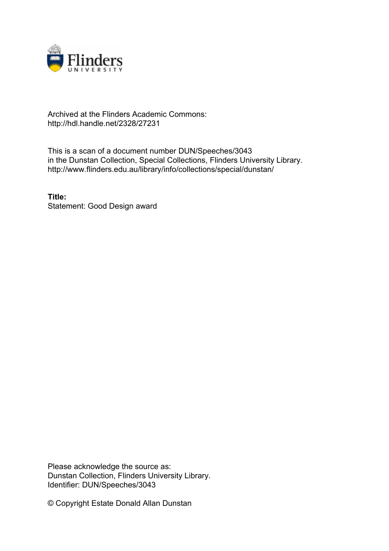

## Archived at the Flinders Academic Commons: http://hdl.handle.net/2328/27231

This is a scan of a document number DUN/Speeches/3043 in the Dunstan Collection, Special Collections, Flinders University Library. http://www.flinders.edu.au/library/info/collections/special/dunstan/

**Title:** Statement: Good Design award

Please acknowledge the source as: Dunstan Collection, Flinders University Library. Identifier: DUN/Speeches/3043

© Copyright Estate Donald Allan Dunstan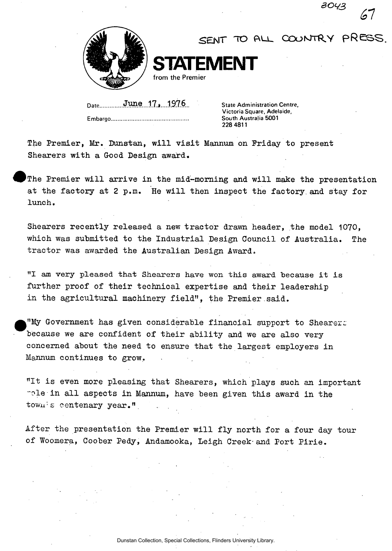

*SENT TO cooMTRY pRess.* 

*30^3* 

*<ol* 

Date, **June.** 17.j...1976. State Administration Centre, **Embargo.** 

**Victoria Square, Adelaide, South Australia 5001 228 4811** 

The Premier, Mr. Dunstan, will visit Mannum on Friday to present Shearers with a Good Design award.

The Premier will arrive in the mid-morning and will make the presentation at the factory at 2 p.m. He will then inspect the factory and stay for lunch .

**STATEMENT** 

Shearers recently released a new tractor drawn header, the model 1070, which was submitted to the Industrial Design Council of Australia. The tractor was awarded the Australian Design Award,

"I am very pleased that Shearers have won this award because it is further proof of their technical expertise and their leadership in the agricultural machinery field", the Premier said.

"My Government has given considerable financial support to Shearers because we are confident of their ability and we are also very concerned about the need to ensure that the largest employers in Mannum continues to grow.

"It is even more pleasing that Shearers, which plays such an important rele in all aspects in Mannum, have been given this award in the  $t$ ow $u^{\frac{1}{2}}$ s centenary year."

After the presentation the Premier will fly north for a four day tour of Woomera, Coober Pedy, Andamooka, Leigh Creek-and Port Pirie .